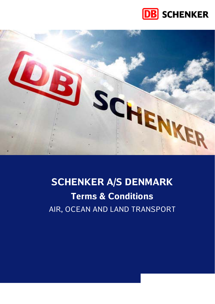



# **SCHENKER A/S DENMARK Terms & Conditions**  AIR, OCEAN AND LAND TRANSPORT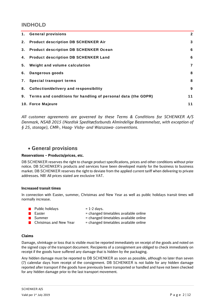## **INDHOLD**

| 1. | <b>General provisions</b>                                     | $\mathbf{2}$ |
|----|---------------------------------------------------------------|--------------|
| 2. | <b>Product description DB SCHENKER Air</b>                    | 3            |
| 3. | <b>Product description DB SCHENKER Ocean</b>                  | 6            |
|    | 4. Product description DB SCHENKER Land                       | 6            |
| 5. | Weight and volume calculation                                 | 7            |
| 6. | Dangerous goods                                               | 8            |
| 7. | <b>Special transport terms</b>                                | 8            |
| 8. | <b>Collection/delivery and responsibility</b>                 | 9            |
| 9. | Terms and conditions for handling of personal data (the GDPR) | 11           |
|    | 10. Force Majeure                                             | 11           |

*All customer agreements are governed by these Terms & Conditions for SCHENKER A/S Denmark, NSAB 2015 (Nordisk Speditørforbunds Almindelige Bestemmelser, with exception of § 25, storage), CMR-, Haag- Visby- and Warszawa- conventions.* 

## **General provisions**

## **Reservations – Products/prices, etc.**

DB SCHENKER reserves the right to change product specifications, prices and other conditions without prior notice. DB SCHENKER's products and services have been developed mainly for the business to business market. DB SCHENKER reserves the right to deviate from the applied current tariff when delivering to private addresses. NB! All prices stated are exclusive VAT.

## **Increased transit times**

In connection with Easter, summer, Christmas and New Year as well as public holidays transit times will normally increase.

| $\blacksquare$ Public holidays | $= 1-2$ days.                         |
|--------------------------------|---------------------------------------|
| Easter<br>a kara               | = changed timetables available online |
| $\blacksquare$ Summer          | = changed timetables available online |
| ■ Christmas and New Year       | = changed timetables available online |

## **Claims**

Damage, shrinkage or loss that is visible must be reported immediately on receipt of the goods and noted on the signed copy of the transport document. Recipients of a consignment are obliged to check immediately on receipt if the goods have suffered any damage that is hidden by the packaging.

Any hidden damage must be reported to DB SCHENKER as soon as possible, although no later than seven (7) calendar days from receipt of the consignment. DB SCHENKER is not liable for any hidden damage reported after transport if the goods have previously been transported or handled and have not been checked for any hidden damage prior to the last transport movement.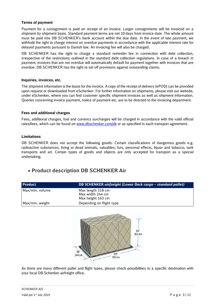## **Terms of payment**

Payment for a consignment is paid on receipt of an invoice. Larger consignments will be invoiced on a shipment by shipment basis. Standard payment terms are net 10 days from invoice date. The whole amount must be paid into DB SCHENKER's bank account within the due date. In the event of late payment, we withhold the right to charge interest on overdue payments in accordance with the applicable interest rate for delayed payments pursuant to Danish law. An invoicing fee will also be charged.

DB SCHENKER has the right to charge a standard reminder fee in connection with debt collection, irrespective of the restrictions outlined in the standard debt collection regulations. In case of a breach in payment, invoices that are not overdue will automatically default for payment together with invoices that are overdue. DB SCHENKER has the right to set off provisions against outstanding claims.

## **Inquiries, invoices, etc.**

The shipment information is the basis for the invoice. A copy of the receipt of delivery (ePOD) can be provided upon request or downloaded from eSchenker. For further information on shipments, please visit our website, under eSchenker, where you can find customer specific shipment invoices as well as shipment information. Queries concerning invoice payment, notice of payment etc. are to be directed to the invoicing department.

## **Fees and additional charges**

Fees, additional charges, fuel and currency surcharges will be charged in accordance with the valid official rates/fees, which can be found on www.dbschenker.com/dk or as specified in each transport agreement.

## **Limitations**

DB SCHENKER does not accept the following goods: Certain classifications of dangerous goods e.g. radioactive substances, living or dead animals, valuables, furs, personal effects, liquor and tobacco, tank transports and art. Certain types of goods and objects are only accepted for transport as a special undertaking.

## **Product description DB SCHENKER Air**

| <b>Product</b>  | DB SCHENKER airfreight (Lower Deck cargo - standard pallet) |
|-----------------|-------------------------------------------------------------|
| Max/min. volume | Max length 318 cm                                           |
|                 | Max width 244 cm                                            |
|                 | Max height 163 cm                                           |
| Max/min. weight | Depending on flight type.                                   |



As there are many different pallet and flight types, please check possibilities to a specific destination with your local DB Schenker airfreight office.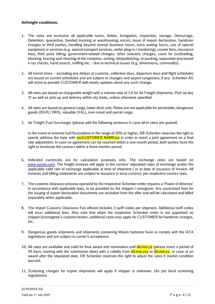## **Airfreight conditions:**

- 1. The rates are exclusive all applicable taxes, duties, fumigation, inspection, storage, Demurrage, Detention, quarantine, bonded trucking or warehousing, escort, issue of export declaration, handover charges to third parties, handling beyond normal business hours, extra waiting hours, use of special equipment or services (e.g. special transport services, reefer plug-in / monitoring), courier fees, insurance fees, third party billing, government-related charges, other statutory charges, costs for (un)loading, blocking, bracing and cleaning of the container, sorting, (de)palletizing, re-packing, separately processed x-ray checks, hand search, sniffing etc. - due to technical issues (e.g. dimensions, commodity).
- 2. All transit times excluding any delays at customs, collection days, departure days and flight schedules are based on current schedules and are subject to changes and airport congestion, if any. Schenker AG will strive to provide CUSTOMER with timely updates about any such change.
- 3. All rates are based on chargeable weight with a volume ratio of 1:6 for Air Freight shipments. Pick-up day '0' as well as pick-up and delivery within city limits, unless otherwise specified.
- 4. All rates are based on general cargo, lower deck only. Rates are not applicable for perishable, dangerous goods (DGR) / IMO), valuable (VAL), over-sized and parcel cargo.
- 5. Air Freight Fuel Surcharge: (please add the following sentence in case all-in rates are quoted)

In the event of extreme fuel fluctuations in the range of 20% or higher, DB Schenker reserves the right to openly address the topic with **xxxCUSTOMER NAMExxx** in order to reach a joint agreement on a final rate adjustment. In case no agreement can be reached within a one-month period, both parties have the right to terminate the contract within a three-months period.

- 6. Indicated currencies are for calculation purposes only. The exchange rates are based on www.oanda.com. The freight invoices will apply to the carriers' stipulated rates of exchange and/or the applicable valid rate of exchange applicable at time of shipment / or at date of issuance of invoice. All invoices and billing statements are subject to issuance in local currency per respective country laws.
- 7. The customs clearance process operated by the respective Schenker entity requires a 'Power of Attorney' in accordance with applicable laws, to be provided by the shipper / consignee. Any associated fees for the issuing of export declaration documents are excluded from the offer and will be calculated and billed separately when applicable.
- 8. The Import Customs Clearance Fee offered includes 3 tariff codes per shipment. Additional tariff codes will incur additional fees. Also note that when the respective Schenker entity is not appointed as shipper's/consignee's customs broker, additional costs may apply for CUSTOMER for handover charges, etc.
- 9. Dangerous goods shipments and shipments containing lithium batteries have to comply with the IATA regulations and are subject to carrier's acceptance.
- 10. All rates are available and valid for final award and nomination until dd.mm.yy (please insert a period of 30 days; starting with the submission date) with a validity from dd.mm.yyy to dd.mm.yy. In case of an award after the stipulated date, DB Schenker reserves the right to adjust the rates if market condition warrant.
- 11. Screening charges for export shipments will apply if shipper is unknown. (As per local screening regulations)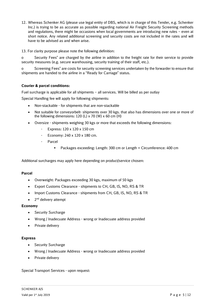- 12. Whereas Schenker AG (please use legal entity of DBS, which is in charge of this Tender, e.g. Schenker Inc.) is trying to be as accurate as possible regarding national Air Freight Security Screening methods and regulations, there might be occasions when local governments are introducing new rules – even at short notice. Any related additional screening and security costs are not included in the rates and will have to be advised as and when arise.
- 13. For clarity purpose please note the following definition:

o Security Fees" are charged by the airline in addition to the freight rate for their service to provide security measures (e.g. secure warehousing, security training of their staff, etc.).

o Screening Fees" are costs for security screening services undertaken by the forwarder to ensure that shipments are handed to the airline in a "Ready for Carriage" status.

## **Courier & parcel conditions:**

Fuel surcharge is applicable for all shipments – all services. Will be billed as per outlay

Special Handling fee will apply for following shipments:

- Non-stackable for shipments that are non-stackable
- Not suitable for conveyorbelt- shipments over 30 kgs. that also has dimensions over one or more of the following dimensions: 120 (L)  $\times$  70 (W)  $\times$  60 cm (H)
- Oversize shipments weighing 30 kgs or more that exceeds the following dimensions:
	- Express: 120 x 120 x 150 cm
	- Economy: 240 x 120 x 180 cm.
	- Parcel
		- Packages exceeding: Length: 300 cm or Length + Circumference: 400 cm

Additional surcharges may apply here depending on product/service chosen:

## **Parcel**

- Overweight: Packages exceeding 30 kgs, maximum of 50 kgs
- Export Customs Clearance shipments to CH, GB, IS, NO, RS & TR
- Import Customs Clearance shipments from CH, GB, IS, NO, RS & TR
- 2<sup>nd</sup> delivery attempt

## **Economy**

- Security Surcharge
- Wrong / Inadecuate Address wrong or Inadecuate address provided
- Private delivery

## **Express**

- Security Surcharge
- Wrong / Inadecuate Address wrong or Inadecuate address provided
- Private delivery

Special Transport Services - upon request: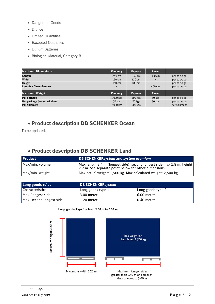- Dangerous Goods
- Dry Ice
- Limited Quantities
- Excepted Quantities
- Lithium Batteries
- Biological Material, Category B

| Maximum Dimensions          | <b>Economy</b>   | <b>Express</b>   | Parcel                   |              |
|-----------------------------|------------------|------------------|--------------------------|--------------|
| Length                      | 240 cm           | $240 \text{ cm}$ | 300 cm                   | per package  |
| Width                       | $120 \text{ cm}$ | $120 \text{ cm}$ |                          | per package  |
| Height                      | 150 cm           | 180 cm           | $\overline{\phantom{a}}$ | per package  |
| Length + Circumference      | -                |                  | $400 \text{ cm}$         | per package  |
| <b>Maximum Weight</b>       | <b>Economy</b>   | <b>Express</b>   | Parcel                   |              |
| Per package                 | 1.000 kgs        | 500 kgs          | 50 kgs                   | per package  |
| Per package (non-stackable) | 70 kgs           | 70 kgs           | 50 kgs                   | per package  |
| Per shipment                | 7.000 kgs        | 500 kgs          | $\overline{\phantom{a}}$ | per shipment |

## **Product description DB SCHENKER Ocean**

To be updated.

# **Product description DB SCHENKER Land**

| <b>Product</b>  | DB SCHENKERsystem and system premium                                                                                            |
|-----------------|---------------------------------------------------------------------------------------------------------------------------------|
| Max/min. volume | Max length 2.4 m (longest side), second longest side max 1.8 m, height<br>2.2 m. See separate point below for other dimensions. |
| Max/min. weight | Max actual weight: 1,500 kg. Max calculated weight: 2,500 kg                                                                    |

| Long goods rules         | <b>DB SCHENKERsystem</b> |                   |
|--------------------------|--------------------------|-------------------|
| Characteristics          | Long goods type 1        | Long goods type 2 |
| Max. longest side        | 3.00 meter               | 6.00 meter        |
| Max. second longest side | $1.20$ meter             | $0.40$ meter      |



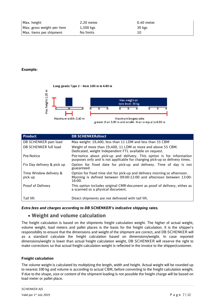| Max. height                | 2.20 meter  | $0.40$ meter |
|----------------------------|-------------|--------------|
| Max. gross weight per item | $1,500$ kgs | 30 kgs       |
| Max. items per shipment    | No limits   |              |

## **Example:**



| <b>Product</b>                    | <b>DB SCHENKERdirect</b>                                                                                                                                   |
|-----------------------------------|------------------------------------------------------------------------------------------------------------------------------------------------------------|
| DB SCHENKER part load             | Max weight: 19,400, less than 11 LDM and less than 55 CBM                                                                                                  |
| DB SCHENKER full load             | Weight of more than 19,400, 11 LDM or more and above 55 CBM.<br>Dedicated, weight independent FTL available on request.                                    |
| Pre-Notice                        | Pre-notice about pick-up and delivery. This option is for information<br>purposes only and is not applicable for changing pick-up or delivery times.       |
| Fix Day delivery & pick up        | Option for fixed date for pick-up and delivery. Time of day is not<br>guaranteed.                                                                          |
| Time Window delivery &<br>pick up | Option for fixed time slot for pick-up and delivery morning or afternoon.<br>Morning is defined between 09:00-12:00 and afternoon between 13:00-<br>16:00. |
| Proof of Delivery                 | This option includes original CMR-document as proof of delivery, either as<br>a scanned or a physical document.                                            |
| Tail lift                         | Direct shipments are not delivered with tail lift.                                                                                                         |

*Extra fees and charges according to DB SCHENKER's indicative shipping rates.* 

## **Weight and volume calculation**

The freight calculation is based on the shipments freight calculation weight. The higher of actual weight, volume weight, load meters and pallet places is the basis for the freight calculation. It is the shipper's responsibility to ensure that the dimensions and weight of the shipment are correct, and DB SCHENKER will as a standard calculate the freight calculation based on dimensions/weight. In case reported dimensions/weight is lower than actual freight calculation weight, DB SCHENKER will reserve the right to make corrections so that actual freight calculation weight is reflected in the invoice to the shipper/customer.

## **Freight calculation**

The volume weight is calculated by multiplying the length, width and height. Actual weight will be rounded up to nearest 100 kg and volume is according to actual CBM, before converting to the freight calculation weight. If due to the shape, size or content of the shipment loading is not possible the freight charge will be based on load meter or pallet place.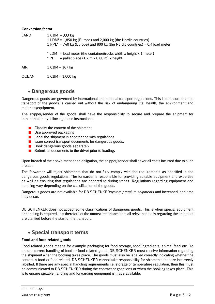## **Conversion factor**

| LAND         | $1$ CBM = 333 kg<br>1 LDM <sup>*</sup> = 1,850 kg (Europe) and 2,000 kg (the Nordic countries)<br>1 PPL* = 740 kg (Europe) and 800 kg (the Nordic countries) = 0.4 load meter |  |  |
|--------------|-------------------------------------------------------------------------------------------------------------------------------------------------------------------------------|--|--|
|              | $*$ LDM = load meter (the container/trucks width x height x 1 meter)<br>* PPL = pallet place $(1.2 \text{ m} \times 0.80 \text{ m}) \times \text{height}$                     |  |  |
| <b>AIR</b>   | $1$ CBM = 167 kg                                                                                                                                                              |  |  |
| <b>OCEAN</b> | $1$ CBM = 1,000 kg                                                                                                                                                            |  |  |

## **Dangerous goods**

Dangerous goods are governed by international and national transport regulations. This is to ensure that the transport of the goods is carried out without the risk of endangering life, health, the environment and materials/equipment.

The shipper/sender of the goods shall have the responsibility to secure and prepare the shipment for transportation by following these instructions:

- $\blacksquare$  Classify the content of the shipment
- $\blacksquare$  Use approved packaging
- $\blacksquare$  Label the shipment in accordance with regulations
- $\blacksquare$  Issue correct transport documents for dangerous goods.
- $\blacksquare$  Book dangerous goods separately
- Submit all documents to the driver prior to loading.

Upon breach of the above-mentioned obligation, the shipper/sender shall cover all costs incurred due to such breach.

The forwarder will reject shipments that do not fully comply with the requirements as specified in the dangerous goods regulations. The forwarder is responsible for providing suitable equipment and expertise as well as ensuring that regulations are adhered to during transit. Regulations regarding equipment and handling vary depending on the classification of the goods.

Dangerous goods are not available for DB SCHENKER*system premium shipments* and increased lead time may occur.

DB SCHENKER does not accept some classifications of dangerous goods. This is when special equipment or handling is required. It is therefore of the utmost importance that all relevant details regarding the shipment are clarified before the start of the transport.

## **Special transport terms**

## **Food and food related goods**

Food related goods means for example packaging for food storage, food ingredients, animal feed etc. To ensure correct handling of food or food related goods DB SCHENKER must receive information regarding the shipment when the booking takes place. The goods must also be labelled correctly indicating whether the content is food or food related. DB SCHENKER cannot take responsibility for shipments that are incorrectly labelled. If there are any special handling requirements i.e. storage or temperature regulation, then this must be communicated to DB SCHENKER during the contract negotiations or when the booking takes place. This is to ensure suitable handling and forwarding equipment is made available.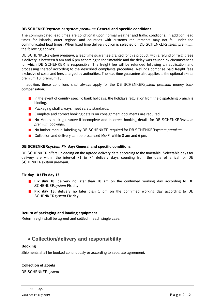## **DB SCHENKERsy***stem* **or** *system premium***: General and specific conditions**

The communicated lead times are conditional upon normal weather and traffic conditions. In addition, lead times for Islands, outer regions and countries with customs requirements may not fall under the communicated lead times. When fixed time delivery option is selected on DB SCHENKER*system premium*, the following applies:

DB SCHENKER*system premium*, a lead time guarantee granted for this product, with a refund of freight fees if delivery is between 8 am and 6 pm according to the timetable and the delay was caused by circumstances for which DB SCHENKER is responsible. The freight fee will be refunded following an application and processing thereof according to the described complaints procedure. Refunds comprise paid freight fees exclusive of costs and fees charged by authorities. The lead time guarantee also applies to the optional extras premium 10, premium 13.

In addition, these conditions shall always apply for the DB SCHENKER*system premium* money back compensation:

- In the event of country specific bank holidays, the holidays regulation from the dispatching branch is binding.
- **Packaging shall always meet safety standards.**
- **Complete and correct booking details on consignment documents are required.**
- No Money back guarantee if incomplete and incorrect booking details for DB SCHENKER*system premium* bookings.
- No further manual labeling by DB SCHENKER required for DB SCHENKER*system premium*.
- Collection and delivery can be processed Mo-Fr within 8 am and 6 pm.

## **DB SCHENKER***system Fix day:* **General and specific conditions**

DB SCHENKER offers unloading on the agreed delivery date according to the timetable. Selectable days for delivery are within the interval +1 to +4 delivery days counting from the date of arrival for DB SCHENKER*system premium*.

## **Fix day 10 / Fix day 13**

- **Fix day 10**, delivery no later than 10 am on the confirmed working day according to DB SCHENKER*system* Fix day.
- **Fix day 13**, delivery no later than 1 pm on the confirmed working day according to DB SCHENKER*system* Fix day.

## **Return of packaging and loading equipment**

Return freight shall be agreed and settled in each single case.

## **Collection/delivery and responsibility**

## **Booking**

Shipments shall be booked continuously or according to separate agreement.

## **Collection of goods**

DB SCHENKER*system*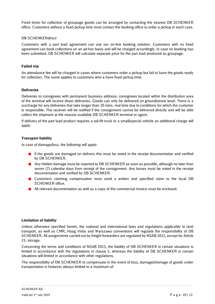Fixed times for collection of groupage goods can be arranged by contacting the nearest DB SCHENKER office. Customers without a fixed pickup time must contact the booking office to order a pickup in each case.

## DB SCHENKER*direct*

Customers with a part load agreement can use our on-line booking solution. Customers with no fixed agreement can book collections on an ad-hoc basis and will be charged accordingly. In case no booking has been submitted, DB SCHENKER will calculate separate price for the part load produced as groupage.

## **Failed trip**

An attendance fee will be charged in cases where customers order a pickup but fail to have the goods ready for collection. The same applies to customers who a have fixed pickup time.

## **Deliveries**

Deliveries to consignees with permanent business address: consignees located within the distribution area of the terminal will receive direct deliveries. Goods can only be delivered on ground/street level. There is a surcharge for any deliveries that take longer than 20 mins. real time due to conditions for which the customer is responsible. The receiver will be notified if the consignment cannot be delivered directly and will be able collect the shipment at the nearest available DB SCHENKER terminal or agent.

If delivery of the part load product requires a tail-lift truck or a small/special vehicle an additional charge will apply.

## **Transport liability**

*In case of damage/loss, the following will apply:*

- **If** If the goods are damaged on delivery this must be noted in the receipt documentation and verified by DB SCHENKER.
- **Any hidden damage must be reported to DB SCHENKER as soon as possible, although no later than** seven (7) calendar days from receipt of the consignment. Any losses must be noted in the receipt documentation and verified by DB SCHENKER.
- **E** Customers claiming compensation must send a written and specified claim to the local DB SCHENKER office.
- **All relevant documentation as well as a copy of the commercial invoice must be enclosed.**

## **Limitation of liability**

Unless otherwise specified herein, the national and international laws and regulations applicable to land transport, as well as CMR, Haag Visby and Warszawa conventions will regulate the responsibility of DB SCHENKER. All assignments carried out by freight forwarders are regulated by NSAB 2015, except for Article 25, storage.

Concerning the terms and conditions of NSAB 2015, the liability of DB SCHENKER in certain situations is limited in accordance with the regulations in clause 2, whereas the liability of DB SCHENKER in certain situations will limited in accordance with other regulations.

The responsibility of DB SCHENKER to compensate in the event of loss, damage/shortage of goods under transportation is however always limited to a maximum of: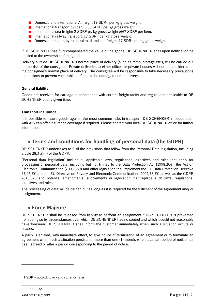- **Domestic and international Airfreight 19 SDR**<sup>1)</sup> per kg gross weight.
- International transport by road: 8.33 SDR<sup>1)</sup> per kg gross weight.
- International sea freight: 2 SDR<sup>1)</sup> pr. kg gross weight /667 SDR<sup>1)</sup> per item.
- **International railway transport:** 17 SDR<sup>1)</sup> per kg gross weight.
- **Domestic transport by road, railroad and sea freight: 17 SDR**<sup>1)</sup> per kg gross weight.

If DB SCHENKER has fully compensated the value of the goods, DB SCHENKER shall upon notification be entitled to the ownership of the goods.

Delivery outside DB SCHENKER's normal place of delivery (such as ramp, storage etc.), will be carried out on the risk of the consignee. Private deliveries to either offices or private houses will not be considered as the consignee's normal place of delivery. The consignee will be responsible to take necessary precautions and actions to prevent vulnerable surfaces to be damaged under delivery.

## **General liability**

Goods are received for carriage in accordance with current freight tariffs and regulations applicable to DB SCHENKER at any given time.

## **Transport insurance**

It is possible to insure goods against the most common risks in transport. DB SCHENKER in cooperation with AIG can offer insurance coverage if required. Please contact your local DB SCHENKER office for further information.

## **Terms and conditions for handling of personal data (the GDPR)**

DB SCHENKER undertakes to fulfil the provisions that follow from the Personal Data legislation, including article 28.3 a)-h) of the GDPR.

"Personal data legislation" include all applicable laws, regulations, directives and rules that apply for processing of personal data, including but not limited to the Data Protection Act (1998:204), the Act on Electronic Communication (2003:389) and other legislation that implement the EU Data Protection Directive 95/46/EC and the EU Directive on Privacy and Electronic Communications 2002/58/EC as well as the GDPR 2016/679 and potential amendments, supplements or legislation that replace such laws, regulations, directives and rules.

The processing of data will be carried out as long as it is required for the fulfilment of the agreement and/ or assignment.

## **Force Majeure**

DB SCHENKER shall be released from liability to perform an assignment if DB SCHENKER is prevented from doing so by circumstances over which DB SCHENKER had no control and which it could not reasonably have foreseen. DB SCHENKER shall inform the customer immediately when such a situation occurs or ceases.

A party is entitled, with immediate effect, to give notice of termination of an agreement or to terminate an agreement when such a situation persists for more than one (1) month, when a certain period of notice has been agreed or after a period corresponding to the period of notice.

-

 $1$  1 SDR = according to valid currency rates